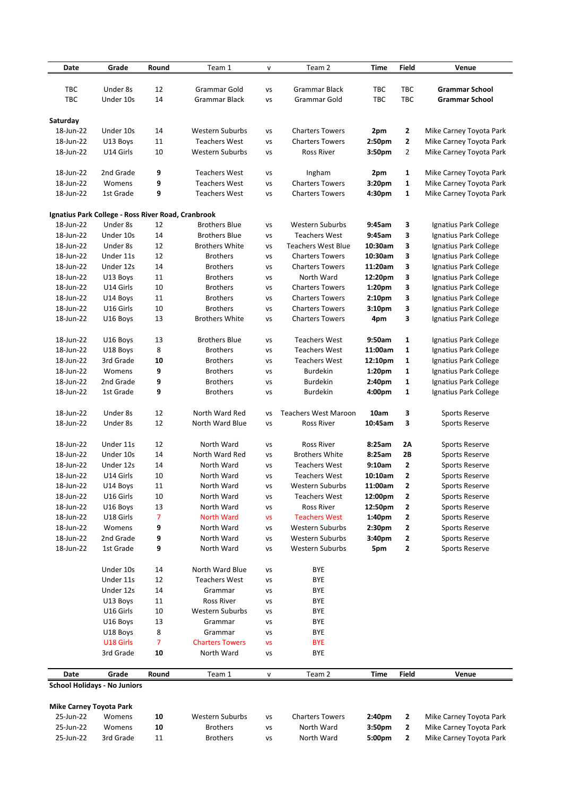| Date                           | Grade                                              | Round    | Team 1                                  | v        | Team 2                                       | Time               | <b>Field</b>                 | Venue                                              |
|--------------------------------|----------------------------------------------------|----------|-----------------------------------------|----------|----------------------------------------------|--------------------|------------------------------|----------------------------------------------------|
|                                |                                                    |          |                                         |          |                                              |                    |                              |                                                    |
| TBC                            | Under 8s                                           | 12       | Grammar Gold                            | vs       | Grammar Black                                | TBC                | TBC                          | <b>Grammar School</b>                              |
| TBC                            | Under 10s                                          | 14       | Grammar Black                           | vs       | Grammar Gold                                 | TBC                | TBC                          | <b>Grammar School</b>                              |
|                                |                                                    |          |                                         |          |                                              |                    |                              |                                                    |
| Saturday                       |                                                    |          |                                         |          |                                              |                    |                              |                                                    |
| 18-Jun-22                      | Under 10s                                          | 14       | <b>Western Suburbs</b>                  | vs       | <b>Charters Towers</b>                       | 2pm                | 2                            | Mike Carney Toyota Park                            |
| 18-Jun-22                      | U13 Boys                                           | 11       | <b>Teachers West</b>                    | vs       | <b>Charters Towers</b>                       | 2:50pm             | 2                            | Mike Carney Toyota Park                            |
| 18-Jun-22                      | U14 Girls                                          | 10       | <b>Western Suburbs</b>                  | vs       | <b>Ross River</b>                            | 3:50pm             | $\overline{2}$               | Mike Carney Toyota Park                            |
|                                |                                                    | 9        | <b>Teachers West</b>                    |          |                                              |                    |                              |                                                    |
| 18-Jun-22<br>18-Jun-22         | 2nd Grade<br>Womens                                | 9        | <b>Teachers West</b>                    | vs<br>vs | Ingham<br><b>Charters Towers</b>             | 2pm<br>3:20pm      | 1<br>1                       | Mike Carney Toyota Park<br>Mike Carney Toyota Park |
| 18-Jun-22                      | 1st Grade                                          | 9        | <b>Teachers West</b>                    | vs       | <b>Charters Towers</b>                       | 4:30pm             | 1                            | Mike Carney Toyota Park                            |
|                                |                                                    |          |                                         |          |                                              |                    |                              |                                                    |
|                                | Ignatius Park College - Ross River Road, Cranbrook |          |                                         |          |                                              |                    |                              |                                                    |
| 18-Jun-22                      | Under 8s                                           | 12       | <b>Brothers Blue</b>                    | vs       | Western Suburbs                              | 9:45am             | 3                            | Ignatius Park College                              |
| 18-Jun-22                      | Under 10s                                          | 14       | <b>Brothers Blue</b>                    | vs       | <b>Teachers West</b>                         | 9:45am             | 3                            | Ignatius Park College                              |
| 18-Jun-22                      | Under 8s                                           | 12       | <b>Brothers White</b>                   | vs       | <b>Teachers West Blue</b>                    | 10:30am            | 3                            | Ignatius Park College                              |
| 18-Jun-22                      | Under 11s                                          | 12       | <b>Brothers</b>                         | vs       | <b>Charters Towers</b>                       | 10:30am            | 3                            | Ignatius Park College                              |
| 18-Jun-22                      | Under 12s                                          | 14       | <b>Brothers</b>                         | vs       | <b>Charters Towers</b>                       | 11:20am            | 3                            | Ignatius Park College                              |
| 18-Jun-22                      | U13 Boys                                           | 11       | <b>Brothers</b>                         | vs       | North Ward                                   | 12:20pm            | 3                            | Ignatius Park College                              |
| 18-Jun-22                      | U14 Girls                                          | 10       | <b>Brothers</b>                         | vs       | <b>Charters Towers</b>                       | 1:20 <sub>pm</sub> | 3                            | Ignatius Park College                              |
| 18-Jun-22                      | U14 Boys                                           | 11       | <b>Brothers</b>                         | vs       | <b>Charters Towers</b>                       | 2:10 <sub>pm</sub> | 3                            | Ignatius Park College                              |
| 18-Jun-22                      | U16 Girls                                          | 10       | <b>Brothers</b>                         | vs       | <b>Charters Towers</b>                       | 3:10pm             | 3                            | Ignatius Park College                              |
| 18-Jun-22                      | U16 Boys                                           | 13       | <b>Brothers White</b>                   | vs       | <b>Charters Towers</b>                       | 4pm                | 3                            | Ignatius Park College                              |
|                                |                                                    |          |                                         |          |                                              |                    |                              |                                                    |
| 18-Jun-22<br>18-Jun-22         | U16 Boys<br>U18 Boys                               | 13<br>8  | <b>Brothers Blue</b><br><b>Brothers</b> | vs       | <b>Teachers West</b><br><b>Teachers West</b> | 9:50am<br>11:00am  | 1<br>1                       | Ignatius Park College<br>Ignatius Park College     |
| 18-Jun-22                      | 3rd Grade                                          | 10       | <b>Brothers</b>                         | vs<br>vs | <b>Teachers West</b>                         | 12:10pm            | 1                            | Ignatius Park College                              |
| 18-Jun-22                      | Womens                                             | 9        | <b>Brothers</b>                         | vs       | <b>Burdekin</b>                              | 1:20pm             | $\mathbf{1}$                 | Ignatius Park College                              |
| 18-Jun-22                      | 2nd Grade                                          | 9        | <b>Brothers</b>                         | vs       | Burdekin                                     | 2:40pm             | 1                            | Ignatius Park College                              |
| 18-Jun-22                      | 1st Grade                                          | 9        | <b>Brothers</b>                         | vs       | <b>Burdekin</b>                              | 4:00pm             | 1                            | Ignatius Park College                              |
|                                |                                                    |          |                                         |          |                                              |                    |                              |                                                    |
| 18-Jun-22                      | Under 8s                                           | 12       | North Ward Red                          | vs       | <b>Teachers West Maroon</b>                  | 10am               | 3                            | Sports Reserve                                     |
| 18-Jun-22                      | Under 8s                                           | 12       | North Ward Blue                         | vs       | <b>Ross River</b>                            | 10:45am            | 3                            | <b>Sports Reserve</b>                              |
| 18-Jun-22                      | Under 11s                                          | 12       | North Ward                              |          | <b>Ross River</b>                            | 8:25am             | 2Α                           |                                                    |
| 18-Jun-22                      | Under 10s                                          | 14       | North Ward Red                          | vs<br>VS | <b>Brothers White</b>                        | 8:25am             | 2B                           | Sports Reserve<br>Sports Reserve                   |
| 18-Jun-22                      | Under 12s                                          | 14       | North Ward                              | vs       | <b>Teachers West</b>                         | 9:10am             | 2                            | <b>Sports Reserve</b>                              |
| 18-Jun-22                      | U14 Girls                                          | 10       | North Ward                              | vs       | <b>Teachers West</b>                         | 10:10am            | 2                            | Sports Reserve                                     |
| 18-Jun-22                      | U14 Boys                                           | $11\,$   | North Ward                              | vs       | Western Suburbs                              | 11:00am            | 2                            | Sports Reserve                                     |
| 18-Jun-22                      | U16 Girls                                          | 10       | North Ward                              | vs       | <b>Teachers West</b>                         | 12:00pm            | $\mathbf{2}$                 | <b>Sports Reserve</b>                              |
| 18-Jun-22                      | U16 Boys                                           | 13       | North Ward                              | vs       | Ross River                                   | 12:50pm            | 2                            | <b>Sports Reserve</b>                              |
| 18-Jun-22                      | U18 Girls                                          | 7        | <b>North Ward</b>                       | VS       | <b>Teachers West</b>                         | 1:40 <sub>pm</sub> | 2                            | Sports Reserve                                     |
| 18-Jun-22                      | Womens                                             | 9        | North Ward                              | vs       | <b>Western Suburbs</b>                       | 2:30pm             | 2                            | Sports Reserve                                     |
| 18-Jun-22                      | 2nd Grade                                          | 9        | North Ward                              | vs       | Western Suburbs                              | 3:40pm             | 2                            | <b>Sports Reserve</b>                              |
| 18-Jun-22                      | 1st Grade                                          | 9        | North Ward                              | vs       | Western Suburbs                              | 5pm                | 2                            | <b>Sports Reserve</b>                              |
|                                | Under 10s                                          | 14       | North Ward Blue                         |          | <b>BYE</b>                                   |                    |                              |                                                    |
|                                | Under 11s                                          | 12       | <b>Teachers West</b>                    | vs<br>vs | <b>BYE</b>                                   |                    |                              |                                                    |
|                                | Under 12s                                          | 14       | Grammar                                 | vs       | <b>BYE</b>                                   |                    |                              |                                                    |
|                                | U13 Boys                                           | 11       | Ross River                              | vs       | BYE                                          |                    |                              |                                                    |
|                                | U16 Girls                                          | 10       | <b>Western Suburbs</b>                  | vs       | <b>BYE</b>                                   |                    |                              |                                                    |
|                                | U16 Boys                                           | 13       | Grammar                                 | vs       | <b>BYE</b>                                   |                    |                              |                                                    |
|                                | U18 Boys                                           | 8        | Grammar                                 | vs       | BYE                                          |                    |                              |                                                    |
|                                | U18 Girls                                          | 7        | <b>Charters Towers</b>                  | VS       | <b>BYE</b>                                   |                    |                              |                                                    |
|                                | 3rd Grade                                          | 10       | North Ward                              | vs       | <b>BYE</b>                                   |                    |                              |                                                    |
| Date                           | Grade                                              | Round    | Team 1                                  | v        | Team 2                                       | <b>Time</b>        | <b>Field</b>                 | Venue                                              |
|                                | <b>School Holidays - No Juniors</b>                |          |                                         |          |                                              |                    |                              |                                                    |
|                                |                                                    |          |                                         |          |                                              |                    |                              |                                                    |
| <b>Mike Carney Toyota Park</b> |                                                    |          |                                         |          |                                              |                    |                              |                                                    |
| 25-Jun-22<br>25-Jun-22         | Womens<br>Womens                                   | 10<br>10 | Western Suburbs<br><b>Brothers</b>      | VS<br>vs | <b>Charters Towers</b><br>North Ward         | 2:40pm<br>3:50pm   | $\mathbf{2}$<br>$\mathbf{2}$ | Mike Carney Toyota Park<br>Mike Carney Toyota Park |
| 25-Jun-22                      | 3rd Grade                                          | 11       | <b>Brothers</b>                         | VS       | North Ward                                   | 5:00pm             | 2                            | Mike Carney Toyota Park                            |
|                                |                                                    |          |                                         |          |                                              |                    |                              |                                                    |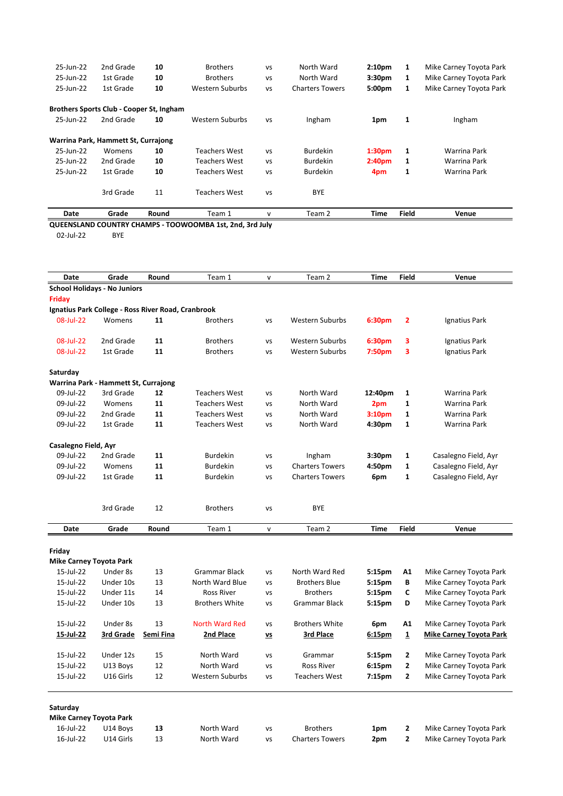|           |                                          |       | <b>QUEENSLAND COUNTRY CHAMPS - TOOWOOMBA 1st. 2nd. 3rd July</b> |              |                        |                    |              |                         |
|-----------|------------------------------------------|-------|-----------------------------------------------------------------|--------------|------------------------|--------------------|--------------|-------------------------|
| Date      | Grade                                    | Round | Team 1                                                          | $\mathsf{v}$ | Team 2                 | Time               | <b>Field</b> | Venue                   |
|           | 3rd Grade                                | 11    | <b>Teachers West</b>                                            | <b>VS</b>    | <b>BYE</b>             |                    |              |                         |
| 25-Jun-22 | 1st Grade                                | 10    | Teachers West                                                   | <b>VS</b>    | <b>Burdekin</b>        | 4pm                | 1            | Warrina Park            |
| 25-Jun-22 | 2nd Grade                                | 10    | <b>Teachers West</b>                                            | <b>VS</b>    | <b>Burdekin</b>        | 2:40 <sub>pm</sub> | 1            | Warrina Park            |
| 25-Jun-22 | Womens                                   | 10    | Teachers West                                                   | <b>VS</b>    | <b>Burdekin</b>        | 1:30 <sub>pm</sub> | 1            | Warrina Park            |
|           | Warrina Park, Hammett St, Currajong      |       |                                                                 |              |                        |                    |              |                         |
| 25-Jun-22 | 2nd Grade                                | 10    | Western Suburbs                                                 | VS           | Ingham                 | 1pm                | 1            | Ingham                  |
|           | Brothers Sports Club - Cooper St, Ingham |       |                                                                 |              |                        |                    |              |                         |
| 25-Jun-22 | 1st Grade                                | 10    | Western Suburbs                                                 | <b>VS</b>    | <b>Charters Towers</b> | 5:00 <sub>pm</sub> | 1            | Mike Carney Toyota Park |
| 25-Jun-22 | 1st Grade                                | 10    | <b>Brothers</b>                                                 | <b>VS</b>    | North Ward             | 3:30 <sub>pm</sub> | 1            | Mike Carney Toyota Park |
| 25-Jun-22 | 2nd Grade                                | 10    | <b>Brothers</b>                                                 | <b>VS</b>    | North Ward             | 2:10 <sub>pm</sub> | 1            | Mike Carney Toyota Park |

02-Jul-22 BYE

| Date                           | Grade                                              | Round     | Team 1                 | $\mathsf{v}$              | Team 2                 | Time               | <b>Field</b>            | Venue                          |
|--------------------------------|----------------------------------------------------|-----------|------------------------|---------------------------|------------------------|--------------------|-------------------------|--------------------------------|
|                                | <b>School Holidays - No Juniors</b>                |           |                        |                           |                        |                    |                         |                                |
| <b>Friday</b>                  |                                                    |           |                        |                           |                        |                    |                         |                                |
|                                | Ignatius Park College - Ross River Road, Cranbrook |           |                        |                           |                        |                    |                         |                                |
| 08-Jul-22                      | Womens                                             | 11        | <b>Brothers</b>        | vs                        | <b>Western Suburbs</b> | 6:30pm             | $\overline{2}$          | Ignatius Park                  |
| 08-Jul-22                      | 2nd Grade                                          | 11        | <b>Brothers</b>        | vs                        | <b>Western Suburbs</b> | 6:30pm             | 3                       | Ignatius Park                  |
| 08-Jul-22                      | 1st Grade                                          | 11        | <b>Brothers</b>        | <b>VS</b>                 | <b>Western Suburbs</b> | 7:50pm             | 3                       | Ignatius Park                  |
| Saturday                       |                                                    |           |                        |                           |                        |                    |                         |                                |
|                                | Warrina Park - Hammett St, Currajong               |           |                        |                           |                        |                    |                         |                                |
| 09-Jul-22                      | 3rd Grade                                          | 12        | <b>Teachers West</b>   | VS                        | North Ward             | 12:40pm            | 1                       | Warrina Park                   |
| 09-Jul-22                      | Womens                                             | 11        | <b>Teachers West</b>   | vs                        | North Ward             | 2pm                | 1                       | Warrina Park                   |
| 09-Jul-22                      | 2nd Grade                                          | 11        | <b>Teachers West</b>   | <b>VS</b>                 | North Ward             | 3:10 <sub>pm</sub> | $\mathbf{1}$            | Warrina Park                   |
| 09-Jul-22                      | 1st Grade                                          | 11        | <b>Teachers West</b>   | <b>VS</b>                 | North Ward             | 4:30pm             | 1                       | Warrina Park                   |
| Casalegno Field, Ayr           |                                                    |           |                        |                           |                        |                    |                         |                                |
| 09-Jul-22                      | 2nd Grade                                          | 11        | <b>Burdekin</b>        | vs                        | Ingham                 | 3:30 <sub>pm</sub> | 1                       | Casalegno Field, Ayr           |
| 09-Jul-22                      | Womens                                             | 11        | <b>Burdekin</b>        | <b>VS</b>                 | <b>Charters Towers</b> | 4:50pm             | $\mathbf{1}$            | Casalegno Field, Ayr           |
| 09-Jul-22                      | 1st Grade                                          | 11        | <b>Burdekin</b>        | <b>VS</b>                 | <b>Charters Towers</b> | 6pm                | $\mathbf{1}$            | Casalegno Field, Ayr           |
|                                | 3rd Grade                                          | 12        | <b>Brothers</b>        | vs                        | <b>BYE</b>             |                    |                         |                                |
| Date                           | Grade                                              | Round     | Team 1                 | v                         | Team 2                 | Time               | <b>Field</b>            | Venue                          |
| Friday                         |                                                    |           |                        |                           |                        |                    |                         |                                |
| <b>Mike Carney Toyota Park</b> |                                                    |           |                        |                           |                        |                    |                         |                                |
| 15-Jul-22                      | Under 8s                                           | 13        | <b>Grammar Black</b>   | vs                        | North Ward Red         | 5:15pm             | A1                      | Mike Carney Toyota Park        |
| 15-Jul-22                      | Under 10s                                          | 13        | North Ward Blue        | vs                        | <b>Brothers Blue</b>   | 5:15pm             | В                       | Mike Carney Toyota Park        |
| 15-Jul-22                      | Under 11s                                          | 14        | <b>Ross River</b>      | vs                        | <b>Brothers</b>        | 5:15 <sub>pm</sub> | C                       | Mike Carney Toyota Park        |
| 15-Jul-22                      | Under 10s                                          | 13        | <b>Brothers White</b>  | vs                        | <b>Grammar Black</b>   | 5:15pm             | D                       | Mike Carney Toyota Park        |
| 15-Jul-22                      | Under 8s                                           | 13        | <b>North Ward Red</b>  | vs                        | <b>Brothers White</b>  | 6pm                | A1                      | Mike Carney Toyota Park        |
| 15-Jul-22                      | 3rd Grade                                          | Semi Fina | 2nd Place              | $\underline{\mathsf{vs}}$ | 3rd Place              | 6:15pm             | $\overline{\mathbf{1}}$ | <b>Mike Carney Toyota Park</b> |
| 15-Jul-22                      | Under 12s                                          | 15        | North Ward             | <b>VS</b>                 | Grammar                | 5:15pm             | 2                       | Mike Carney Toyota Park        |
| 15-Jul-22                      | U13 Boys                                           | 12        | North Ward             | vs                        | Ross River             | 6:15 <sub>pm</sub> | $\mathbf{2}$            | Mike Carney Toyota Park        |
| 15-Jul-22                      | U16 Girls                                          | 12        | <b>Western Suburbs</b> | vs                        | <b>Teachers West</b>   | 7:15pm             | 2                       | Mike Carney Toyota Park        |
|                                |                                                    |           |                        |                           |                        |                    |                         |                                |

| Saturday  |                                |    |            |    |                 |     |  |                         |  |  |  |
|-----------|--------------------------------|----|------------|----|-----------------|-----|--|-------------------------|--|--|--|
|           | <b>Mike Carney Toyota Park</b> |    |            |    |                 |     |  |                         |  |  |  |
| 16-Jul-22 | U14 Boys                       | 13 | North Ward | VS | <b>Brothers</b> | 1pm |  | Mike Carney Toyota Park |  |  |  |
| 16-Jul-22 | U14 Girls                      | 13 | North Ward | VS | Charters Towers | 2pm |  | Mike Carney Toyota Park |  |  |  |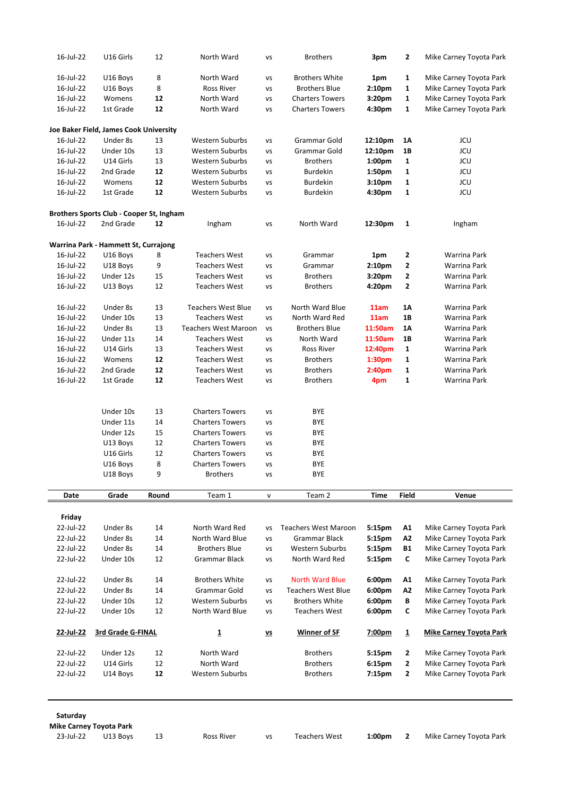| 16-Jul-22 | U16 Girls                                             | 12       | North Ward                  | vs                        | <b>Brothers</b>             | 3pm                | 2              | Mike Carney Toyota Park        |
|-----------|-------------------------------------------------------|----------|-----------------------------|---------------------------|-----------------------------|--------------------|----------------|--------------------------------|
| 16-Jul-22 | U16 Boys                                              | 8        | North Ward                  | vs                        | <b>Brothers White</b>       | 1pm                | 1              | Mike Carney Toyota Park        |
| 16-Jul-22 | U16 Boys                                              | 8        | <b>Ross River</b>           | vs                        | <b>Brothers Blue</b>        | 2:10pm             | 1              | Mike Carney Toyota Park        |
| 16-Jul-22 | Womens                                                | 12       | North Ward                  | vs                        | <b>Charters Towers</b>      | 3:20pm             | 1              | Mike Carney Toyota Park        |
| 16-Jul-22 | 1st Grade                                             | 12       | North Ward                  | VS                        | <b>Charters Towers</b>      | 4:30pm             | 1              | Mike Carney Toyota Park        |
|           |                                                       |          |                             |                           |                             |                    |                |                                |
|           | Joe Baker Field, James Cook University                |          |                             |                           |                             |                    |                |                                |
| 16-Jul-22 | Under 8s                                              | 13       | Western Suburbs             | VS                        | Grammar Gold                | 12:10pm            | 1A             | JCU                            |
| 16-Jul-22 | Under 10s                                             | 13       | Western Suburbs             | vs                        | Grammar Gold                | 12:10pm            | 1B             | JCU                            |
| 16-Jul-22 | U14 Girls                                             | 13       | Western Suburbs             | vs                        | <b>Brothers</b>             | 1:00pm             | 1              | JCU                            |
| 16-Jul-22 | 2nd Grade                                             | 12       | Western Suburbs             | VS                        | Burdekin                    | 1:50pm             | 1              | JCU                            |
| 16-Jul-22 | Womens                                                | 12       | Western Suburbs             | vs                        | Burdekin                    | 3:10pm             | 1              | JCU                            |
| 16-Jul-22 | 1st Grade                                             | 12       | Western Suburbs             | vs                        | Burdekin                    | 4:30pm             | 1              | JCU                            |
|           |                                                       |          |                             |                           |                             |                    |                |                                |
| 16-Jul-22 | Brothers Sports Club - Cooper St, Ingham<br>2nd Grade | 12       | Ingham                      | vs                        | North Ward                  | 12:30pm            | 1              | Ingham                         |
|           |                                                       |          |                             |                           |                             |                    |                |                                |
|           | Warrina Park - Hammett St, Currajong                  |          |                             |                           |                             |                    |                |                                |
| 16-Jul-22 | U16 Boys                                              | 8        | <b>Teachers West</b>        | VS                        | Grammar                     | 1pm                | 2              | Warrina Park                   |
| 16-Jul-22 | U18 Boys                                              | 9        | <b>Teachers West</b>        | VS                        | Grammar                     | 2:10 <sub>pm</sub> | 2              | Warrina Park                   |
| 16-Jul-22 | Under 12s                                             | 15       | <b>Teachers West</b>        | vs                        | <b>Brothers</b>             | 3:20pm             | 2              | Warrina Park                   |
| 16-Jul-22 | U13 Boys                                              | 12       | <b>Teachers West</b>        | VS                        | <b>Brothers</b>             | 4:20pm             | 2              | Warrina Park                   |
| 16-Jul-22 | Under 8s                                              | 13       | <b>Teachers West Blue</b>   | VS                        | North Ward Blue             | 11am               | 1A             | Warrina Park                   |
| 16-Jul-22 | Under 10s                                             | 13       | <b>Teachers West</b>        | vs                        | North Ward Red              | 11am               | 1B             | Warrina Park                   |
| 16-Jul-22 | Under 8s                                              | 13       | <b>Teachers West Maroon</b> |                           | <b>Brothers Blue</b>        | 11:50am            | 1A             | Warrina Park                   |
|           |                                                       |          |                             | vs                        |                             |                    |                |                                |
| 16-Jul-22 | Under 11s                                             | 14       | <b>Teachers West</b>        | vs                        | North Ward                  | 11:50am            | 1B             | Warrina Park                   |
| 16-Jul-22 | U14 Girls                                             | 13       | <b>Teachers West</b>        | VS                        | Ross River                  | 12:40pm            | 1              | Warrina Park                   |
| 16-Jul-22 | Womens                                                | 12       | <b>Teachers West</b>        | vs                        | <b>Brothers</b>             | 1:30 <sub>pm</sub> | 1              | Warrina Park                   |
| 16-Jul-22 | 2nd Grade                                             | 12       | <b>Teachers West</b>        | vs                        | <b>Brothers</b>             | 2:40pm             | 1              | Warrina Park                   |
| 16-Jul-22 | 1st Grade                                             | 12       | <b>Teachers West</b>        | VS                        | <b>Brothers</b>             | 4pm                | 1              | Warrina Park                   |
|           |                                                       |          |                             |                           |                             |                    |                |                                |
|           | Under 10s                                             | 13       | <b>Charters Towers</b>      | vs                        | BYE                         |                    |                |                                |
|           | Under 11s                                             | 14       | <b>Charters Towers</b>      | vs                        | <b>BYE</b>                  |                    |                |                                |
|           | Under 12s                                             | 15       | <b>Charters Towers</b>      | VS                        | <b>BYE</b>                  |                    |                |                                |
|           | U13 Boys                                              | 12       | <b>Charters Towers</b>      | vs                        | <b>BYE</b>                  |                    |                |                                |
|           | U16 Girls                                             | 12       | <b>Charters Towers</b>      | vs                        | <b>BYE</b>                  |                    |                |                                |
|           | U16 Boys                                              | 8        | <b>Charters Towers</b>      | VS                        | <b>BYE</b>                  |                    |                |                                |
|           |                                                       | q        |                             |                           | <b>BYE</b>                  |                    |                |                                |
|           | U18 Boys                                              |          | Brothers                    | <b>VS</b>                 |                             |                    |                |                                |
| Date      | Grade                                                 | Round    | Team 1                      | $\mathsf{v}$              | Team 2                      | Time               | <b>Field</b>   | Venue                          |
|           |                                                       |          |                             |                           |                             |                    |                |                                |
| Friday    |                                                       |          |                             |                           |                             |                    |                |                                |
| 22-Jul-22 | Under 8s                                              | 14       | North Ward Red              | vs                        | <b>Teachers West Maroon</b> | 5:15pm             | A1             | Mike Carney Toyota Park        |
| 22-Jul-22 | Under 8s                                              | 14       | North Ward Blue             | vs                        | Grammar Black               | 5:15pm             | A2             | Mike Carney Toyota Park        |
| 22-Jul-22 | Under 8s                                              | 14       | <b>Brothers Blue</b>        | vs                        | Western Suburbs             | 5:15pm             | <b>B1</b>      | Mike Carney Toyota Park        |
| 22-Jul-22 | Under 10s                                             | 12       | <b>Grammar Black</b>        | vs                        | North Ward Red              | 5:15pm             | C              | Mike Carney Toyota Park        |
| 22-Jul-22 | Under 8s                                              | 14       | <b>Brothers White</b>       | VS                        | <b>North Ward Blue</b>      | 6:00pm             | A1             | Mike Carney Toyota Park        |
| 22-Jul-22 | Under 8s                                              | 14       | Grammar Gold                | VS                        | <b>Teachers West Blue</b>   | 6:00pm             | A <sub>2</sub> | Mike Carney Toyota Park        |
|           |                                                       |          |                             |                           |                             |                    |                |                                |
| 22-Jul-22 | Under 10s                                             | 12<br>12 | Western Suburbs             | VS                        | <b>Brothers White</b>       | 6:00pm             | В              | Mike Carney Toyota Park        |
| 22-Jul-22 | Under 10s                                             |          | North Ward Blue             | VS                        | Teachers West               | 6:00pm             | C              | Mike Carney Toyota Park        |
| 22-Jul-22 | <u>3rd Grade G-FINAL</u>                              |          | $\mathbf{1}$                | $\underline{\mathsf{vs}}$ | <u>Winner of SF</u>         | <u>7:00pm</u>      | $\mathbf{1}$   | <b>Mike Carney Toyota Park</b> |
| 22-Jul-22 | Under 12s                                             | 12       | North Ward                  |                           | <b>Brothers</b>             | 5:15pm             | 2              | Mike Carney Toyota Park        |
| 22-Jul-22 | U14 Girls                                             | 12       | North Ward                  |                           | <b>Brothers</b>             | 6:15pm             | 2              | Mike Carney Toyota Park        |
| 22-Jul-22 | U14 Boys                                              | 12       | Western Suburbs             |                           | <b>Brothers</b>             | 7:15pm             | 2              | Mike Carney Toyota Park        |
|           |                                                       |          |                             |                           |                             |                    |                |                                |
| Saturday  |                                                       |          |                             |                           |                             |                    |                |                                |
|           | <b>Mike Carney Toyota Park</b>                        |          |                             |                           |                             |                    |                |                                |
| 23-Jul-22 | U13 Boys                                              | 13       | <b>Ross River</b>           | vs                        | <b>Teachers West</b>        | 1:00pm             | 2              | Mike Carney Toyota Park        |
|           |                                                       |          |                             |                           |                             |                    |                |                                |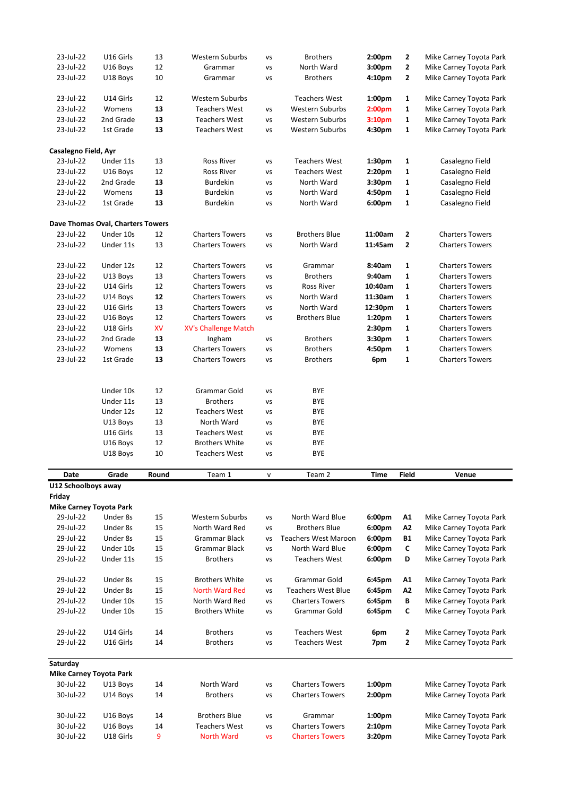| 23-Jul-22              | U16 Girls                         | 13       | Western Suburbs                           | VS | <b>Brothers</b>                                  | 2:00pm                       | 2              | Mike Carney Toyota Park                            |
|------------------------|-----------------------------------|----------|-------------------------------------------|----|--------------------------------------------------|------------------------------|----------------|----------------------------------------------------|
| 23-Jul-22              | U16 Boys                          | 12       | Grammar                                   | VS | North Ward                                       | 3:00pm                       | 2              | Mike Carney Toyota Park                            |
| 23-Jul-22              | U18 Boys                          | 10       | Grammar                                   | vs | <b>Brothers</b>                                  | 4:10pm                       | 2              | Mike Carney Toyota Park                            |
|                        |                                   |          |                                           |    |                                                  |                              |                |                                                    |
| 23-Jul-22              | U14 Girls                         | 12       | <b>Western Suburbs</b>                    |    | <b>Teachers West</b>                             | 1:00pm                       | 1              | Mike Carney Toyota Park                            |
| 23-Jul-22              | Womens                            | 13       |                                           |    | Western Suburbs                                  |                              | 1              |                                                    |
|                        |                                   |          | <b>Teachers West</b>                      | vs |                                                  | 2:00pm                       |                | Mike Carney Toyota Park                            |
| 23-Jul-22              | 2nd Grade                         | 13       | <b>Teachers West</b>                      | vs | Western Suburbs                                  | 3:10pm                       | 1              | Mike Carney Toyota Park                            |
| 23-Jul-22              | 1st Grade                         | 13       | <b>Teachers West</b>                      | vs | Western Suburbs                                  | 4:30pm                       | 1              | Mike Carney Toyota Park                            |
| Casalegno Field, Ayr   |                                   |          |                                           |    |                                                  |                              |                |                                                    |
| 23-Jul-22              | Under 11s                         | 13       | Ross River                                | vs | <b>Teachers West</b>                             | 1:30pm                       | 1              | Casalegno Field                                    |
| 23-Jul-22              | U16 Boys                          | 12       | Ross River                                | VS | <b>Teachers West</b>                             | 2:20pm                       | 1              | Casalegno Field                                    |
| 23-Jul-22              | 2nd Grade                         | 13       | <b>Burdekin</b>                           | vs | North Ward                                       | 3:30pm                       | 1              | Casalegno Field                                    |
| 23-Jul-22              | Womens                            | 13       | Burdekin                                  | vs | North Ward                                       | 4:50pm                       | 1              | Casalegno Field                                    |
| 23-Jul-22              | 1st Grade                         | 13       | Burdekin                                  | vs | North Ward                                       | 6:00pm                       | 1              | Casalegno Field                                    |
|                        |                                   |          |                                           |    |                                                  |                              |                |                                                    |
|                        | Dave Thomas Oval, Charters Towers |          |                                           |    |                                                  |                              |                |                                                    |
| 23-Jul-22              | Under 10s                         | 12       | <b>Charters Towers</b>                    | vs | <b>Brothers Blue</b>                             | 11:00am                      | 2              | <b>Charters Towers</b>                             |
| 23-Jul-22              | Under 11s                         | 13       | <b>Charters Towers</b>                    | vs | North Ward                                       | 11:45am                      | $\mathbf 2$    | <b>Charters Towers</b>                             |
| 23-Jul-22              | Under 12s                         | 12       | <b>Charters Towers</b>                    | vs | Grammar                                          | 8:40am                       | 1              | <b>Charters Towers</b>                             |
| 23-Jul-22              | U13 Boys                          | 13       | <b>Charters Towers</b>                    | vs | <b>Brothers</b>                                  | 9:40am                       | 1              | <b>Charters Towers</b>                             |
| 23-Jul-22              | U14 Girls                         | 12       | <b>Charters Towers</b>                    |    | Ross River                                       | 10:40am                      | 1              | <b>Charters Towers</b>                             |
|                        |                                   |          |                                           | vs |                                                  |                              |                | <b>Charters Towers</b>                             |
| 23-Jul-22              | U14 Boys                          | 12       | <b>Charters Towers</b>                    | vs | North Ward                                       | 11:30am                      | 1              |                                                    |
| 23-Jul-22              | U16 Girls                         | 13       | <b>Charters Towers</b>                    | vs | North Ward                                       | 12:30pm                      | $\mathbf{1}$   | <b>Charters Towers</b>                             |
| 23-Jul-22              | U16 Boys                          | 12       | <b>Charters Towers</b>                    | vs | <b>Brothers Blue</b>                             | 1:20pm                       | 1              | <b>Charters Towers</b>                             |
| 23-Jul-22              | U18 Girls                         | XV       | XV's Challenge Match                      |    |                                                  | 2:30pm                       | 1              | <b>Charters Towers</b>                             |
| 23-Jul-22              | 2nd Grade                         | 13       | Ingham                                    | vs | <b>Brothers</b>                                  | 3:30pm                       | 1              | <b>Charters Towers</b>                             |
| 23-Jul-22              | Womens                            | 13       | <b>Charters Towers</b>                    | VS | <b>Brothers</b>                                  | 4:50pm                       | 1              | <b>Charters Towers</b>                             |
| 23-Jul-22              | 1st Grade                         | 13       | <b>Charters Towers</b>                    | VS | <b>Brothers</b>                                  | 6pm                          | 1              | <b>Charters Towers</b>                             |
|                        |                                   |          |                                           |    |                                                  |                              |                |                                                    |
|                        | Under 10s                         | 12       | Grammar Gold                              | vs | <b>BYE</b>                                       |                              |                |                                                    |
|                        | Under 11s                         | 13       | <b>Brothers</b>                           | vs | <b>BYE</b>                                       |                              |                |                                                    |
|                        | Under 12s                         | 12       | <b>Teachers West</b>                      | vs | <b>BYE</b>                                       |                              |                |                                                    |
|                        | U13 Boys                          | 13       | North Ward                                | vs | <b>BYE</b>                                       |                              |                |                                                    |
|                        | U16 Girls                         | 13       | <b>Teachers West</b>                      | vs | <b>BYE</b>                                       |                              |                |                                                    |
|                        | U16 Boys                          | 12       | <b>Brothers White</b>                     | vs | <b>BYE</b>                                       |                              |                |                                                    |
|                        | U18 Boys                          | 10       | <b>Teachers West</b>                      | vs | <b>BYE</b>                                       |                              |                |                                                    |
|                        |                                   |          |                                           |    |                                                  |                              |                |                                                    |
| Date                   | Grade                             | Round    | Team 1                                    | v  | Team 2                                           | Time                         | Field          | Venue                                              |
| U12 Schoolboys away    |                                   |          |                                           |    |                                                  |                              |                |                                                    |
| Friday                 | <b>Mike Carney Toyota Park</b>    |          |                                           |    |                                                  |                              |                |                                                    |
| 29-Jul-22              | Under 8s                          | 15       | <b>Western Suburbs</b>                    | vs | North Ward Blue                                  | 6:00pm                       | A1             | Mike Carney Toyota Park                            |
| 29-Jul-22              | Under 8s                          | 15       | North Ward Red                            | vs | <b>Brothers Blue</b>                             | 6:00pm                       | A <sub>2</sub> | Mike Carney Toyota Park                            |
| 29-Jul-22              | Under 8s                          | 15       | Grammar Black                             |    | <b>Teachers West Maroon</b>                      | 6:00pm                       | <b>B1</b>      | Mike Carney Toyota Park                            |
|                        |                                   |          |                                           | vs |                                                  |                              |                |                                                    |
| 29-Jul-22              | Under 10s                         | 15       | Grammar Black                             | VS | North Ward Blue                                  | 6:00pm                       | C              | Mike Carney Toyota Park                            |
| 29-Jul-22              | Under 11s                         | 15       | <b>Brothers</b>                           | vs | <b>Teachers West</b>                             | 6:00pm                       | D              | Mike Carney Toyota Park                            |
| 29-Jul-22              | Under 8s                          | 15       | <b>Brothers White</b>                     | vs | Grammar Gold                                     | 6:45pm                       | A1             | Mike Carney Toyota Park                            |
| 29-Jul-22              | Under 8s                          | 15       | <b>North Ward Red</b>                     | vs | <b>Teachers West Blue</b>                        | 6:45pm                       | A <sub>2</sub> | Mike Carney Toyota Park                            |
| 29-Jul-22              | Under 10s                         | 15       | North Ward Red                            | vs | <b>Charters Towers</b>                           | 6:45pm                       | В              | Mike Carney Toyota Park                            |
| 29-Jul-22              | Under 10s                         | 15       | <b>Brothers White</b>                     | vs | Grammar Gold                                     | 6:45pm                       | С              | Mike Carney Toyota Park                            |
|                        |                                   |          |                                           |    |                                                  |                              |                |                                                    |
| 29-Jul-22              | U14 Girls                         | 14       | <b>Brothers</b>                           | vs | <b>Teachers West</b>                             | 6pm                          | 2              | Mike Carney Toyota Park                            |
| 29-Jul-22              | U16 Girls                         | 14       | <b>Brothers</b>                           | vs | <b>Teachers West</b>                             | 7pm                          | 2              | Mike Carney Toyota Park                            |
| Saturday               |                                   |          |                                           |    |                                                  |                              |                |                                                    |
|                        | <b>Mike Carney Toyota Park</b>    |          |                                           |    |                                                  |                              |                |                                                    |
|                        |                                   |          | North Ward                                | vs | <b>Charters Towers</b>                           | 1:00pm                       |                | Mike Carney Toyota Park                            |
|                        |                                   |          |                                           |    |                                                  |                              |                |                                                    |
| 30-Jul-22<br>30-Jul-22 | U13 Boys<br>U14 Boys              | 14<br>14 | <b>Brothers</b>                           | vs | <b>Charters Towers</b>                           | 2:00 <sub>pm</sub>           |                | Mike Carney Toyota Park                            |
|                        |                                   |          |                                           |    |                                                  |                              |                |                                                    |
| 30-Jul-22              | U16 Boys                          | 14       | <b>Brothers Blue</b>                      | vs | Grammar                                          | 1:00pm                       |                | Mike Carney Toyota Park                            |
| 30-Jul-22<br>30-Jul-22 | U16 Boys<br>U18 Girls             | 14<br>9  | <b>Teachers West</b><br><b>North Ward</b> | vs | <b>Charters Towers</b><br><b>Charters Towers</b> | 2:10 <sub>pm</sub><br>3:20pm |                | Mike Carney Toyota Park<br>Mike Carney Toyota Park |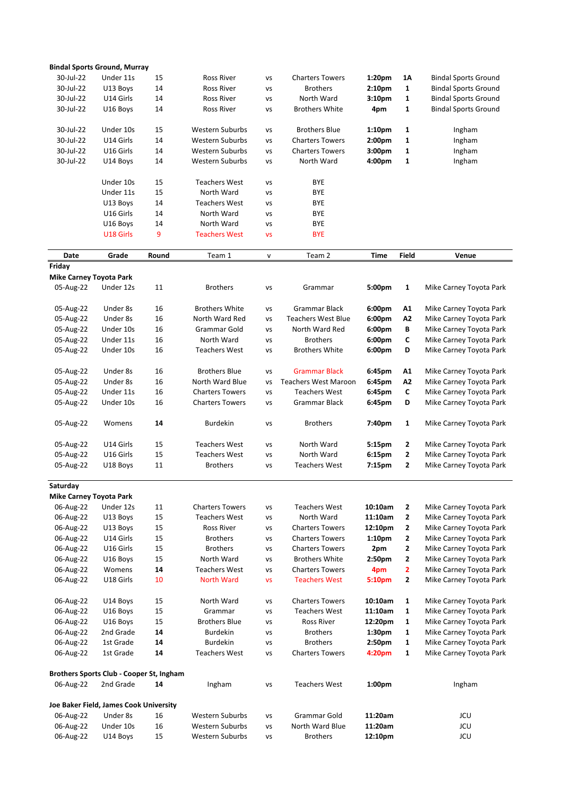|                                | <b>Bindal Sports Ground, Murray</b>                |       |                                           |           |                                                |                                          |                |                                                    |
|--------------------------------|----------------------------------------------------|-------|-------------------------------------------|-----------|------------------------------------------------|------------------------------------------|----------------|----------------------------------------------------|
| 30-Jul-22                      | Under 11s                                          | 15    | <b>Ross River</b>                         | vs        | <b>Charters Towers</b>                         | 1:20 <sub>pm</sub>                       | 1A             | <b>Bindal Sports Ground</b>                        |
| 30-Jul-22                      | U13 Boys                                           | 14    | Ross River                                | VS        | <b>Brothers</b>                                | 2:10pm                                   | $\mathbf{1}$   | <b>Bindal Sports Ground</b>                        |
| 30-Jul-22                      | U14 Girls                                          | 14    | Ross River                                | vs        | North Ward                                     | 3:10 <sub>pm</sub>                       | $\mathbf{1}$   | <b>Bindal Sports Ground</b>                        |
| 30-Jul-22                      | U16 Boys                                           | 14    | <b>Ross River</b>                         | VS        | <b>Brothers White</b>                          | 4pm                                      | $\mathbf{1}$   | <b>Bindal Sports Ground</b>                        |
|                                |                                                    |       |                                           |           |                                                |                                          |                |                                                    |
| 30-Jul-22                      | Under 10s                                          | 15    | <b>Western Suburbs</b>                    | VS        | <b>Brothers Blue</b>                           | 1:10 <sub>pm</sub>                       | 1              | Ingham                                             |
| 30-Jul-22                      | U14 Girls                                          | 14    | <b>Western Suburbs</b>                    | vs        | <b>Charters Towers</b>                         | 2:00pm                                   | 1              | Ingham                                             |
| 30-Jul-22                      | U16 Girls                                          | 14    | <b>Western Suburbs</b>                    | VS        | <b>Charters Towers</b>                         | 3:00pm                                   | 1              | Ingham                                             |
| 30-Jul-22                      | U14 Boys                                           | 14    | <b>Western Suburbs</b>                    | vs        | North Ward                                     | 4:00pm                                   | $\mathbf{1}$   | Ingham                                             |
|                                |                                                    |       |                                           |           |                                                |                                          |                |                                                    |
|                                | Under 10s                                          | 15    | <b>Teachers West</b>                      | VS        | BYE                                            |                                          |                |                                                    |
|                                | Under 11s                                          | 15    | North Ward                                |           | <b>BYE</b>                                     |                                          |                |                                                    |
|                                |                                                    |       |                                           | VS        |                                                |                                          |                |                                                    |
|                                | U13 Boys                                           | 14    | <b>Teachers West</b>                      | VS        | <b>BYE</b>                                     |                                          |                |                                                    |
|                                | U16 Girls                                          | 14    | North Ward                                | VS        | <b>BYE</b>                                     |                                          |                |                                                    |
|                                | U16 Boys                                           | 14    | North Ward                                | vs        | <b>BYE</b>                                     |                                          |                |                                                    |
|                                | U18 Girls                                          | 9     | <b>Teachers West</b>                      | <b>VS</b> | <b>BYE</b>                                     |                                          |                |                                                    |
|                                |                                                    |       |                                           |           |                                                |                                          |                |                                                    |
| Date                           | Grade                                              | Round | Team 1                                    | v         | Team 2                                         | Time                                     | <b>Field</b>   | Venue                                              |
| Friday                         |                                                    |       |                                           |           |                                                |                                          |                |                                                    |
| <b>Mike Carney Toyota Park</b> |                                                    |       |                                           |           |                                                |                                          |                |                                                    |
| 05-Aug-22                      | Under 12s                                          | 11    | <b>Brothers</b>                           | vs        | Grammar                                        | 5:00pm                                   | 1              | Mike Carney Toyota Park                            |
|                                |                                                    |       |                                           |           |                                                |                                          |                |                                                    |
| 05-Aug-22                      | Under 8s                                           | 16    | <b>Brothers White</b>                     | vs        | <b>Grammar Black</b>                           | 6:00pm                                   | A1             | Mike Carney Toyota Park                            |
| 05-Aug-22                      | Under 8s                                           | 16    | North Ward Red                            | vs        | <b>Teachers West Blue</b>                      | 6:00pm                                   | A <sub>2</sub> | Mike Carney Toyota Park                            |
| 05-Aug-22                      | Under 10s                                          | 16    | Grammar Gold                              | VS        | North Ward Red                                 | 6:00pm                                   | В              | Mike Carney Toyota Park                            |
| 05-Aug-22                      | Under 11s                                          | 16    | North Ward                                | VS        | <b>Brothers</b>                                | 6:00pm                                   | C              | Mike Carney Toyota Park                            |
| 05-Aug-22                      | Under 10s                                          | 16    | <b>Teachers West</b>                      | VS        | <b>Brothers White</b>                          | 6:00pm                                   | D              | Mike Carney Toyota Park                            |
|                                |                                                    |       |                                           |           |                                                |                                          |                |                                                    |
| 05-Aug-22                      | Under 8s                                           | 16    | <b>Brothers Blue</b>                      | vs        | <b>Grammar Black</b>                           | 6:45pm                                   | A1             | Mike Carney Toyota Park                            |
| 05-Aug-22                      | Under 8s                                           | 16    | North Ward Blue                           | vs        | <b>Teachers West Maroon</b>                    | 6:45pm                                   | A <sub>2</sub> | Mike Carney Toyota Park                            |
| 05-Aug-22                      | Under 11s                                          | 16    | <b>Charters Towers</b>                    | vs        | <b>Teachers West</b>                           | 6:45pm                                   | C              | Mike Carney Toyota Park                            |
| 05-Aug-22                      | Under 10s                                          | 16    | <b>Charters Towers</b>                    | vs        | Grammar Black                                  | 6:45pm                                   | D              | Mike Carney Toyota Park                            |
| 05-Aug-22                      | Womens                                             | 14    | Burdekin                                  | vs        | <b>Brothers</b>                                | 7:40pm                                   | 1              | Mike Carney Toyota Park                            |
|                                |                                                    |       |                                           |           |                                                |                                          |                |                                                    |
| 05-Aug-22                      | U14 Girls                                          | 15    | <b>Teachers West</b>                      | VS        | North Ward                                     | 5:15pm                                   | 2              | Mike Carney Toyota Park                            |
| 05-Aug-22                      | U16 Girls                                          | 15    | <b>Teachers West</b>                      | VS        | North Ward                                     | 6:15pm                                   | 2              | Mike Carney Toyota Park                            |
| 05-Aug-22                      | U18 Boys                                           | 11    | <b>Brothers</b>                           | VS        | <b>Teachers West</b>                           | 7:15pm                                   | 2              | Mike Carney Toyota Park                            |
| Saturday                       |                                                    |       |                                           |           |                                                |                                          |                |                                                    |
| <b>Mike Carney Toyota Park</b> |                                                    |       |                                           |           |                                                |                                          |                |                                                    |
| 06-Aug-22                      | Under 12s                                          | 11    | <b>Charters Towers</b>                    | vs        | <b>Teachers West</b>                           | 10:10am                                  | 2              | Mike Carney Toyota Park                            |
| 06-Aug-22                      | U13 Boys                                           | 15    | <b>Teachers West</b>                      | vs        | North Ward                                     | 11:10am                                  | 2              | Mike Carney Toyota Park                            |
| 06-Aug-22                      | U13 Boys                                           | 15    | <b>Ross River</b>                         | VS        | <b>Charters Towers</b>                         | 12:10pm                                  | 2              | Mike Carney Toyota Park                            |
| 06-Aug-22                      | U14 Girls                                          | 15    | <b>Brothers</b>                           | vs        | <b>Charters Towers</b>                         | 1:10 <sub>pm</sub>                       | 2              | Mike Carney Toyota Park                            |
| 06-Aug-22                      | U16 Girls                                          | 15    | <b>Brothers</b>                           | vs        | <b>Charters Towers</b>                         | 2pm                                      | 2              | Mike Carney Toyota Park                            |
| 06-Aug-22                      | U16 Boys                                           | 15    | North Ward                                | vs        | <b>Brothers White</b>                          | 2:50pm                                   | 2              | Mike Carney Toyota Park                            |
|                                |                                                    | 14    |                                           |           |                                                |                                          | 2              |                                                    |
| 06-Aug-22<br>06-Aug-22         | Womens<br>U18 Girls                                | 10    | <b>Teachers West</b><br><b>North Ward</b> | vs        | <b>Charters Towers</b><br><b>Teachers West</b> | 4pm<br>5:10 <sub>pm</sub>                | 2              | Mike Carney Toyota Park<br>Mike Carney Toyota Park |
|                                |                                                    |       |                                           | <b>VS</b> |                                                |                                          |                |                                                    |
| 06-Aug-22                      | U14 Boys                                           | 15    | North Ward                                | vs        | <b>Charters Towers</b>                         | 10:10am                                  | 1              | Mike Carney Toyota Park                            |
| 06-Aug-22                      | U16 Boys                                           | 15    | Grammar                                   | vs        | <b>Teachers West</b>                           | 11:10am                                  | $\mathbf{1}$   | Mike Carney Toyota Park                            |
| 06-Aug-22                      | U16 Boys                                           | 15    | <b>Brothers Blue</b>                      | vs        | <b>Ross River</b>                              | 12:20pm                                  | 1              | Mike Carney Toyota Park                            |
| 06-Aug-22                      | 2nd Grade                                          | 14    | Burdekin                                  | vs        | <b>Brothers</b>                                | 1:30pm                                   | $\mathbf{1}$   | Mike Carney Toyota Park                            |
|                                |                                                    | 14    | <b>Burdekin</b>                           |           | <b>Brothers</b>                                |                                          | $\mathbf{1}$   | Mike Carney Toyota Park                            |
| 06-Aug-22<br>06-Aug-22         | 1st Grade<br>1st Grade                             | 14    | <b>Teachers West</b>                      | vs<br>vs  | <b>Charters Towers</b>                         | 2:50 <sub>pm</sub><br>4:20 <sub>pm</sub> | $\mathbf{1}$   | Mike Carney Toyota Park                            |
|                                |                                                    |       |                                           |           |                                                |                                          |                |                                                    |
|                                | Brothers Sports Club - Cooper St, Ingham           |       |                                           |           |                                                |                                          |                |                                                    |
| 06-Aug-22                      | 2nd Grade                                          | 14    | Ingham                                    | vs        | <b>Teachers West</b>                           | 1:00 <sub>pm</sub>                       |                | Ingham                                             |
|                                |                                                    |       |                                           |           |                                                |                                          |                |                                                    |
| 06-Aug-22                      | Joe Baker Field, James Cook University<br>Under 8s | 16    | <b>Western Suburbs</b>                    | vs        | Grammar Gold                                   | 11:20am                                  |                | JCU                                                |
| 06-Aug-22                      | Under 10s                                          | 16    | Western Suburbs                           | vs        | North Ward Blue                                | 11:20am                                  |                | JCU                                                |
|                                |                                                    |       |                                           |           |                                                |                                          |                |                                                    |
| 06-Aug-22                      | U14 Boys                                           | 15    | Western Suburbs                           | vs        | <b>Brothers</b>                                | 12:10pm                                  |                | JCU                                                |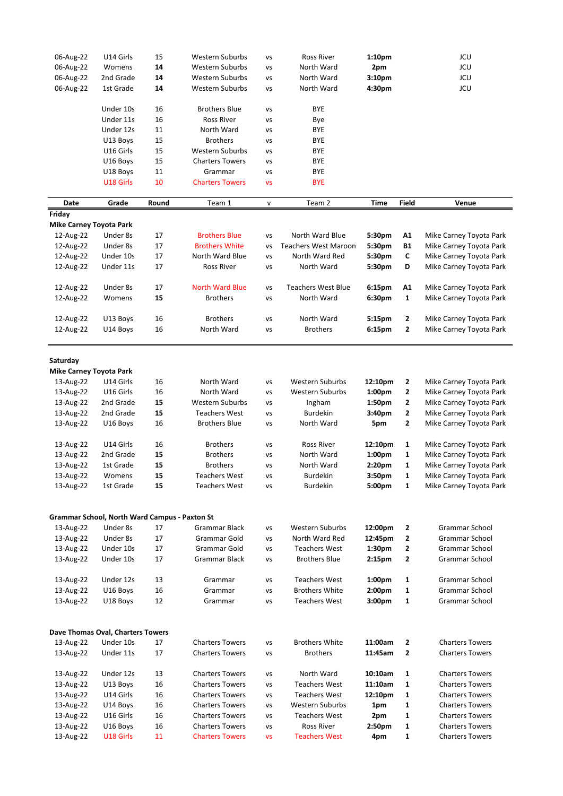| 06-Aug-22                                | U14 Girls                                     | 15       | Western Suburbs        | VS           | Ross River                    | 1:10pm             |                | JCU                                                |
|------------------------------------------|-----------------------------------------------|----------|------------------------|--------------|-------------------------------|--------------------|----------------|----------------------------------------------------|
| 06-Aug-22                                | Womens                                        | 14       | Western Suburbs        | vs           | North Ward                    | 2pm                |                | JCU                                                |
| 06-Aug-22                                | 2nd Grade                                     | 14       | Western Suburbs        | vs           | North Ward                    | 3:10pm             |                | JCU                                                |
| 06-Aug-22                                | 1st Grade                                     | 14       | <b>Western Suburbs</b> | VS           | North Ward                    | 4:30pm             |                | JCU                                                |
|                                          |                                               |          |                        |              |                               |                    |                |                                                    |
|                                          | Under 10s                                     | 16       | <b>Brothers Blue</b>   | VS           | <b>BYE</b>                    |                    |                |                                                    |
|                                          | Under 11s                                     | 16       | Ross River             | VS           | Bye                           |                    |                |                                                    |
|                                          | Under 12s                                     | 11       | North Ward             | VS           | <b>BYE</b>                    |                    |                |                                                    |
|                                          | U13 Boys                                      | 15       | <b>Brothers</b>        | VS           | <b>BYE</b>                    |                    |                |                                                    |
|                                          | U16 Girls                                     | 15       | Western Suburbs        | VS           | BYE                           |                    |                |                                                    |
|                                          | U16 Boys                                      | 15       | <b>Charters Towers</b> | <b>VS</b>    | BYE                           |                    |                |                                                    |
|                                          | U18 Boys                                      | 11       | Grammar                | <b>VS</b>    | BYE                           |                    |                |                                                    |
|                                          | U18 Girls                                     | 10       | <b>Charters Towers</b> | VS           | <b>BYE</b>                    |                    |                |                                                    |
|                                          |                                               |          |                        |              |                               |                    |                |                                                    |
| Date                                     | Grade                                         | Round    | Team 1                 | $\mathsf{v}$ | Team 2                        | Time               | <b>Field</b>   | Venue                                              |
| Friday<br><b>Mike Carney Toyota Park</b> |                                               |          |                        |              |                               |                    |                |                                                    |
| 12-Aug-22                                | Under 8s                                      | 17       | <b>Brothers Blue</b>   | vs           | North Ward Blue               | 5:30pm             | A <sub>1</sub> | Mike Carney Toyota Park                            |
|                                          |                                               | 17       |                        |              | <b>Teachers West Maroon</b>   |                    |                |                                                    |
| 12-Aug-22                                | Under 8s                                      |          | <b>Brothers White</b>  | <b>VS</b>    |                               | 5:30pm             | <b>B1</b>      | Mike Carney Toyota Park                            |
| 12-Aug-22                                | Under 10s                                     | 17       | North Ward Blue        | VS           | North Ward Red                | 5:30pm             | C              | Mike Carney Toyota Park                            |
| 12-Aug-22                                | Under 11s                                     | 17       | Ross River             | VS           | North Ward                    | 5:30pm             | D              | Mike Carney Toyota Park                            |
| 12-Aug-22                                | Under 8s                                      | 17       | <b>North Ward Blue</b> | VS           | <b>Teachers West Blue</b>     | 6:15pm             | A1             | Mike Carney Toyota Park                            |
| 12-Aug-22                                | Womens                                        | 15       | <b>Brothers</b>        | VS           | North Ward                    | 6:30pm             | $\mathbf{1}$   | Mike Carney Toyota Park                            |
| 12-Aug-22                                |                                               |          | <b>Brothers</b>        |              |                               |                    |                |                                                    |
| 12-Aug-22                                | U13 Boys<br>U14 Boys                          | 16<br>16 | North Ward             | VS<br>VS     | North Ward<br><b>Brothers</b> | 5:15pm<br>6:15pm   | 2<br>2         | Mike Carney Toyota Park<br>Mike Carney Toyota Park |
|                                          |                                               |          |                        |              |                               |                    |                |                                                    |
| Saturday                                 |                                               |          |                        |              |                               |                    |                |                                                    |
| <b>Mike Carney Toyota Park</b>           |                                               |          |                        |              |                               |                    |                |                                                    |
| 13-Aug-22                                | U14 Girls                                     | 16       | North Ward             | VS           | <b>Western Suburbs</b>        | 12:10pm            | 2              | Mike Carney Toyota Park                            |
| 13-Aug-22                                | U16 Girls                                     | 16       | North Ward             | vs           | Western Suburbs               | 1:00 <sub>pm</sub> | 2              | Mike Carney Toyota Park                            |
|                                          |                                               |          |                        |              |                               |                    |                |                                                    |
| 13-Aug-22                                | 2nd Grade                                     | 15       | <b>Western Suburbs</b> | VS           | Ingham                        | 1:50pm             | 2              | Mike Carney Toyota Park                            |
| 13-Aug-22                                | 2nd Grade                                     | 15       | <b>Teachers West</b>   | VS           | <b>Burdekin</b>               | 3:40pm             | 2              | Mike Carney Toyota Park                            |
| 13-Aug-22                                | U16 Boys                                      | 16       | <b>Brothers Blue</b>   | <b>VS</b>    | North Ward                    | 5pm                | 2              | Mike Carney Toyota Park                            |
| 13-Aug-22                                | U14 Girls                                     | 16       | <b>Brothers</b>        | VS           | <b>Ross River</b>             | 12:10pm            | 1              | Mike Carney Toyota Park                            |
| 13-Aug-22                                | 2nd Grade                                     | 15       | <b>Brothers</b>        | VS           | North Ward                    | 1:00pm             | 1              | Mike Carney Toyota Park                            |
| 13-Aug-22                                | 1st Grade                                     | 15       | <b>Brothers</b>        | <b>VS</b>    | North Ward                    | 2:20pm             | 1              | Mike Carney Toyota Park                            |
| 13-Aug-22                                | Womens                                        | 15       | <b>Teachers West</b>   |              | Burdekin                      | 3:50pm             | 1              | Mike Carney Toyota Park                            |
|                                          |                                               |          |                        | vs           |                               |                    |                |                                                    |
| 13-Aug-22                                | 1st Grade                                     | 15       | <b>Teachers West</b>   | vs           | <b>Burdekin</b>               | 5:00pm             | 1              | Mike Carney Toyota Park                            |
|                                          | Grammar School, North Ward Campus - Paxton St |          |                        |              |                               |                    |                |                                                    |
| 13-Aug-22                                | Under 8s                                      | 17       | <b>Grammar Black</b>   | VS           | <b>Western Suburbs</b>        | 12:00pm            | 2              | Grammar School                                     |
|                                          |                                               | 17       | Grammar Gold           |              | North Ward Red                |                    |                | Grammar School                                     |
| 13-Aug-22                                | Under 8s                                      |          |                        | vs           |                               | 12:45pm            | 2              |                                                    |
| 13-Aug-22                                | Under 10s                                     | 17       | Grammar Gold           | vs           | <b>Teachers West</b>          | 1:30 <sub>pm</sub> | 2              | Grammar School                                     |
| 13-Aug-22                                | Under 10s                                     | 17       | Grammar Black          | vs           | <b>Brothers Blue</b>          | 2:15 <sub>pm</sub> | 2              | Grammar School                                     |
| 13-Aug-22                                | Under 12s                                     | 13       | Grammar                | VS           | <b>Teachers West</b>          | 1:00pm             | 1              | Grammar School                                     |
| 13-Aug-22                                | U16 Boys                                      | 16       | Grammar                | vs           | <b>Brothers White</b>         | 2:00pm             | 1              | Grammar School                                     |
| 13-Aug-22                                | U18 Boys                                      | 12       | Grammar                | vs           | <b>Teachers West</b>          | 3:00 <sub>pm</sub> | 1              | Grammar School                                     |
|                                          |                                               |          |                        |              |                               |                    |                |                                                    |
|                                          | Dave Thomas Oval, Charters Towers             |          |                        |              |                               |                    |                |                                                    |
| 13-Aug-22                                | Under 10s                                     | 17       | <b>Charters Towers</b> | VS           | <b>Brothers White</b>         | 11:00am            | 2              | <b>Charters Towers</b>                             |
| 13-Aug-22                                | Under 11s                                     | 17       | <b>Charters Towers</b> | vs           | <b>Brothers</b>               | 11:45am            | 2              | <b>Charters Towers</b>                             |
| 13-Aug-22                                | Under 12s                                     | 13       | <b>Charters Towers</b> | VS           | North Ward                    | 10:10am            | 1              | <b>Charters Towers</b>                             |
| 13-Aug-22                                | U13 Boys                                      | 16       | <b>Charters Towers</b> | vs           | <b>Teachers West</b>          | 11:10am            | 1              | <b>Charters Towers</b>                             |
| 13-Aug-22                                | U14 Girls                                     | 16       | <b>Charters Towers</b> |              | <b>Teachers West</b>          | 12:10pm            | 1              | <b>Charters Towers</b>                             |
|                                          |                                               |          |                        | VS           |                               |                    |                |                                                    |
| 13-Aug-22                                | U14 Boys                                      | 16       | <b>Charters Towers</b> | VS           | Western Suburbs               | 1pm                | 1              | <b>Charters Towers</b>                             |
| 13-Aug-22                                | U16 Girls                                     | 16       | <b>Charters Towers</b> | VS           | <b>Teachers West</b>          | 2pm                | 1              | <b>Charters Towers</b>                             |
| 13-Aug-22                                | U16 Boys                                      | 16       | <b>Charters Towers</b> | VS           | Ross River                    | 2:50pm             | 1              | <b>Charters Towers</b>                             |
| 13-Aug-22                                | U18 Girls                                     | 11       | <b>Charters Towers</b> | <b>VS</b>    | <b>Teachers West</b>          | 4pm                | 1              | <b>Charters Towers</b>                             |